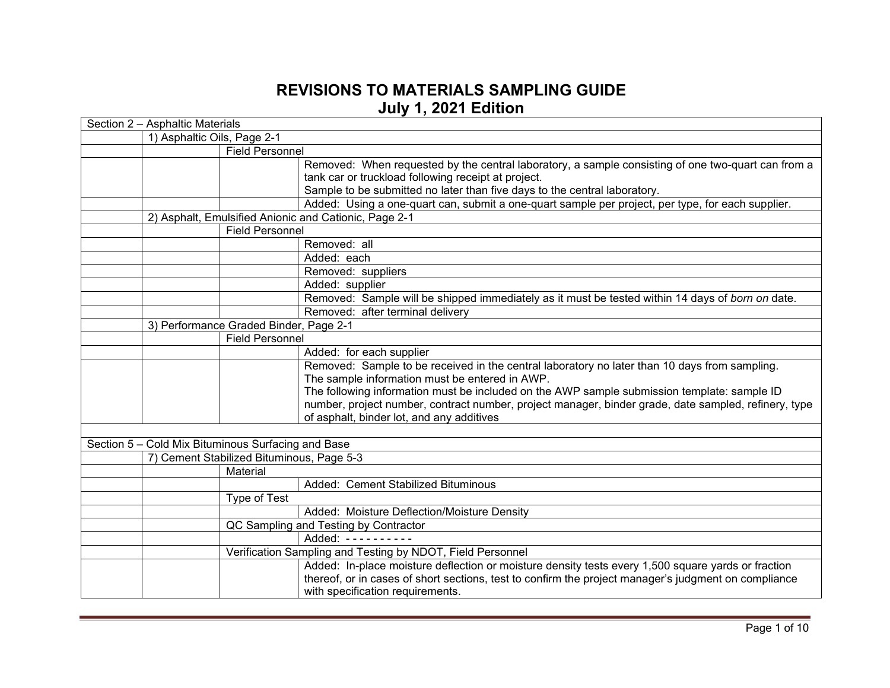## **REVISIONS TO MATERIALS SAMPLING GUIDE July 1, 2021 Edition**

| Section 2 - Asphaltic Materials                    |                                                                                                      |  |  |
|----------------------------------------------------|------------------------------------------------------------------------------------------------------|--|--|
| 1) Asphaltic Oils, Page 2-1                        |                                                                                                      |  |  |
| <b>Field Personnel</b>                             |                                                                                                      |  |  |
|                                                    | Removed: When requested by the central laboratory, a sample consisting of one two-quart can from a   |  |  |
|                                                    | tank car or truckload following receipt at project.                                                  |  |  |
|                                                    | Sample to be submitted no later than five days to the central laboratory.                            |  |  |
|                                                    | Added: Using a one-quart can, submit a one-quart sample per project, per type, for each supplier.    |  |  |
|                                                    | 2) Asphalt, Emulsified Anionic and Cationic, Page 2-1                                                |  |  |
| <b>Field Personnel</b>                             |                                                                                                      |  |  |
|                                                    | Removed: all                                                                                         |  |  |
|                                                    | Added: each                                                                                          |  |  |
|                                                    | Removed: suppliers                                                                                   |  |  |
|                                                    | Added: supplier                                                                                      |  |  |
|                                                    | Removed: Sample will be shipped immediately as it must be tested within 14 days of born on date.     |  |  |
|                                                    | Removed: after terminal delivery                                                                     |  |  |
| 3) Performance Graded Binder, Page 2-1             |                                                                                                      |  |  |
| <b>Field Personnel</b>                             |                                                                                                      |  |  |
|                                                    | Added: for each supplier                                                                             |  |  |
|                                                    | Removed: Sample to be received in the central laboratory no later than 10 days from sampling.        |  |  |
|                                                    | The sample information must be entered in AWP.                                                       |  |  |
|                                                    | The following information must be included on the AWP sample submission template: sample ID          |  |  |
|                                                    | number, project number, contract number, project manager, binder grade, date sampled, refinery, type |  |  |
|                                                    | of asphalt, binder lot, and any additives                                                            |  |  |
|                                                    |                                                                                                      |  |  |
| Section 5 - Cold Mix Bituminous Surfacing and Base |                                                                                                      |  |  |
| 7) Cement Stabilized Bituminous, Page 5-3          |                                                                                                      |  |  |
| Material                                           |                                                                                                      |  |  |
|                                                    | Added: Cement Stabilized Bituminous                                                                  |  |  |
| Type of Test                                       |                                                                                                      |  |  |
|                                                    | Added: Moisture Deflection/Moisture Density                                                          |  |  |
|                                                    | QC Sampling and Testing by Contractor                                                                |  |  |
|                                                    | Added: $------$                                                                                      |  |  |
|                                                    | Verification Sampling and Testing by NDOT, Field Personnel                                           |  |  |
|                                                    | Added: In-place moisture deflection or moisture density tests every 1,500 square yards or fraction   |  |  |
|                                                    | thereof, or in cases of short sections, test to confirm the project manager's judgment on compliance |  |  |
|                                                    | with specification requirements.                                                                     |  |  |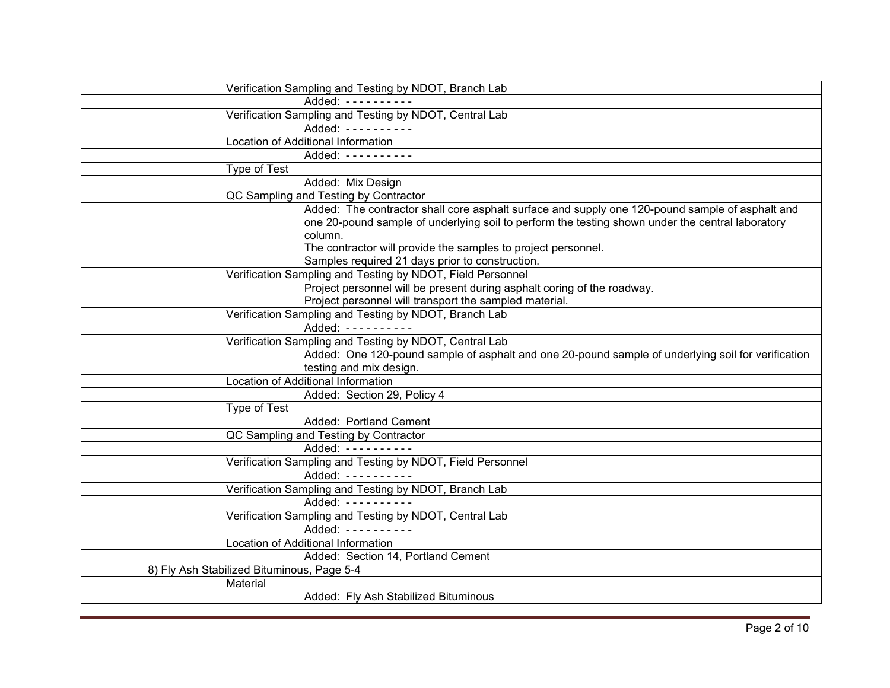|                                            | Verification Sampling and Testing by NDOT, Branch Lab                                              |
|--------------------------------------------|----------------------------------------------------------------------------------------------------|
|                                            | Added: ----------                                                                                  |
|                                            | Verification Sampling and Testing by NDOT, Central Lab                                             |
|                                            | Added: ----------                                                                                  |
|                                            | Location of Additional Information                                                                 |
|                                            | Added: ----------                                                                                  |
| Type of Test                               |                                                                                                    |
|                                            | Added: Mix Design                                                                                  |
|                                            | QC Sampling and Testing by Contractor                                                              |
|                                            | Added: The contractor shall core asphalt surface and supply one 120-pound sample of asphalt and    |
|                                            | one 20-pound sample of underlying soil to perform the testing shown under the central laboratory   |
|                                            | column.                                                                                            |
|                                            | The contractor will provide the samples to project personnel.                                      |
|                                            | Samples required 21 days prior to construction.                                                    |
|                                            | Verification Sampling and Testing by NDOT, Field Personnel                                         |
|                                            | Project personnel will be present during asphalt coring of the roadway.                            |
|                                            | Project personnel will transport the sampled material.                                             |
|                                            | Verification Sampling and Testing by NDOT, Branch Lab                                              |
|                                            | Added: $------$                                                                                    |
|                                            | Verification Sampling and Testing by NDOT, Central Lab                                             |
|                                            | Added: One 120-pound sample of asphalt and one 20-pound sample of underlying soil for verification |
|                                            | testing and mix design.                                                                            |
|                                            | <b>Location of Additional Information</b>                                                          |
|                                            | Added: Section 29, Policy 4                                                                        |
| Type of Test                               |                                                                                                    |
|                                            | Added: Portland Cement                                                                             |
|                                            | QC Sampling and Testing by Contractor                                                              |
|                                            | Added: ----------                                                                                  |
|                                            | Verification Sampling and Testing by NDOT, Field Personnel                                         |
|                                            | Added: ----------                                                                                  |
|                                            | Verification Sampling and Testing by NDOT, Branch Lab                                              |
|                                            | Added: ----------                                                                                  |
|                                            | Verification Sampling and Testing by NDOT, Central Lab                                             |
|                                            | Added: ----------                                                                                  |
|                                            | Location of Additional Information                                                                 |
|                                            | Added: Section 14, Portland Cement                                                                 |
| 8) Fly Ash Stabilized Bituminous, Page 5-4 |                                                                                                    |
| Material                                   |                                                                                                    |
|                                            | Added: Fly Ash Stabilized Bituminous                                                               |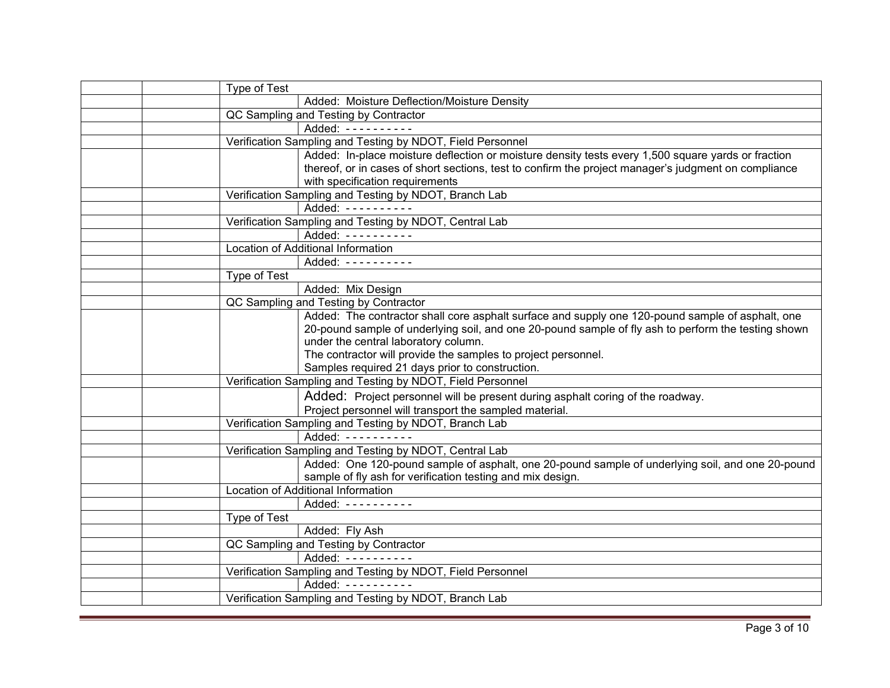| Type of Test |                                                                                                      |
|--------------|------------------------------------------------------------------------------------------------------|
|              | Added: Moisture Deflection/Moisture Density                                                          |
|              | QC Sampling and Testing by Contractor                                                                |
|              | Added: ----------                                                                                    |
|              | Verification Sampling and Testing by NDOT, Field Personnel                                           |
|              | Added: In-place moisture deflection or moisture density tests every 1,500 square yards or fraction   |
|              | thereof, or in cases of short sections, test to confirm the project manager's judgment on compliance |
|              | with specification requirements                                                                      |
|              | Verification Sampling and Testing by NDOT, Branch Lab                                                |
|              | Added: ----------                                                                                    |
|              | Verification Sampling and Testing by NDOT, Central Lab                                               |
|              | Added: ----------                                                                                    |
|              | Location of Additional Information                                                                   |
|              | Added: ----------                                                                                    |
| Type of Test |                                                                                                      |
|              | Added: Mix Design                                                                                    |
|              | QC Sampling and Testing by Contractor                                                                |
|              | Added: The contractor shall core asphalt surface and supply one 120-pound sample of asphalt, one     |
|              | 20-pound sample of underlying soil, and one 20-pound sample of fly ash to perform the testing shown  |
|              | under the central laboratory column.                                                                 |
|              | The contractor will provide the samples to project personnel.                                        |
|              | Samples required 21 days prior to construction.                                                      |
|              | Verification Sampling and Testing by NDOT, Field Personnel                                           |
|              | Added: Project personnel will be present during asphalt coring of the roadway.                       |
|              | Project personnel will transport the sampled material.                                               |
|              | Verification Sampling and Testing by NDOT, Branch Lab                                                |
|              | Added: ----------                                                                                    |
|              | Verification Sampling and Testing by NDOT, Central Lab                                               |
|              | Added: One 120-pound sample of asphalt, one 20-pound sample of underlying soil, and one 20-pound     |
|              | sample of fly ash for verification testing and mix design.                                           |
|              | Location of Additional Information                                                                   |
|              | Added: ----------                                                                                    |
| Type of Test |                                                                                                      |
|              | Added: Fly Ash                                                                                       |
|              | QC Sampling and Testing by Contractor                                                                |
|              | Added: ----------                                                                                    |
|              | Verification Sampling and Testing by NDOT, Field Personnel                                           |
|              | Added: ----------                                                                                    |
|              | Verification Sampling and Testing by NDOT, Branch Lab                                                |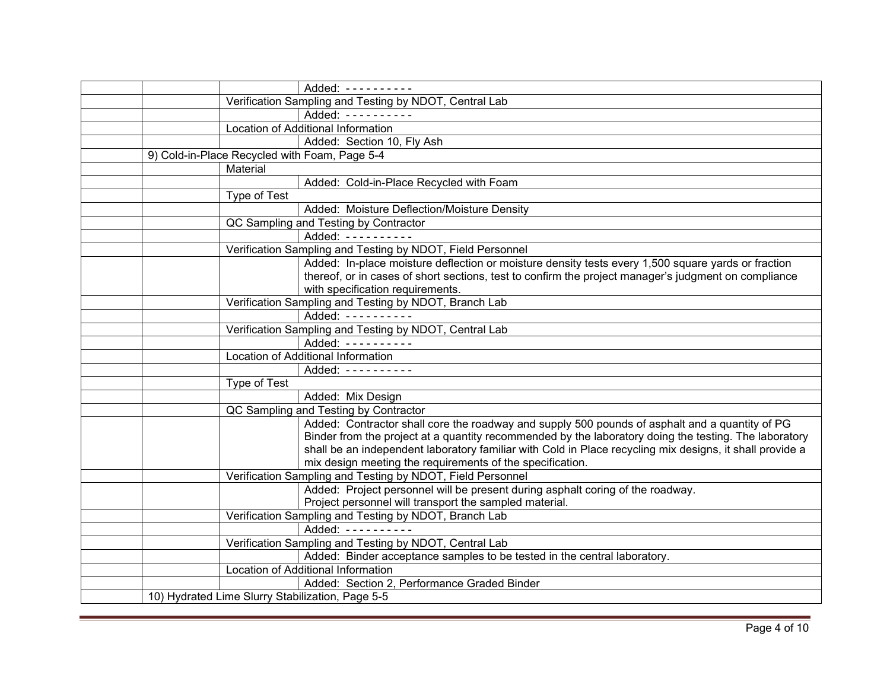|                                                  | Added: ----------                                                                                        |
|--------------------------------------------------|----------------------------------------------------------------------------------------------------------|
|                                                  | Verification Sampling and Testing by NDOT, Central Lab                                                   |
|                                                  | Added: ----------                                                                                        |
|                                                  | Location of Additional Information                                                                       |
|                                                  | Added: Section 10, Fly Ash                                                                               |
| 9) Cold-in-Place Recycled with Foam, Page 5-4    |                                                                                                          |
| Material                                         |                                                                                                          |
|                                                  | Added: Cold-in-Place Recycled with Foam                                                                  |
| Type of Test                                     |                                                                                                          |
|                                                  | Added: Moisture Deflection/Moisture Density                                                              |
|                                                  | QC Sampling and Testing by Contractor                                                                    |
|                                                  | Added: ----------                                                                                        |
|                                                  | Verification Sampling and Testing by NDOT, Field Personnel                                               |
|                                                  | Added: In-place moisture deflection or moisture density tests every 1,500 square yards or fraction       |
|                                                  | thereof, or in cases of short sections, test to confirm the project manager's judgment on compliance     |
|                                                  | with specification requirements.                                                                         |
|                                                  | Verification Sampling and Testing by NDOT, Branch Lab                                                    |
|                                                  | Added: ----------                                                                                        |
|                                                  | Verification Sampling and Testing by NDOT, Central Lab                                                   |
|                                                  | Added: ----------                                                                                        |
|                                                  | Location of Additional Information                                                                       |
|                                                  | Added: $--------$                                                                                        |
| Type of Test                                     |                                                                                                          |
|                                                  | Added: Mix Design                                                                                        |
|                                                  | QC Sampling and Testing by Contractor                                                                    |
|                                                  | Added: Contractor shall core the roadway and supply 500 pounds of asphalt and a quantity of PG           |
|                                                  | Binder from the project at a quantity recommended by the laboratory doing the testing. The laboratory    |
|                                                  | shall be an independent laboratory familiar with Cold in Place recycling mix designs, it shall provide a |
|                                                  | mix design meeting the requirements of the specification.                                                |
|                                                  | Verification Sampling and Testing by NDOT, Field Personnel                                               |
|                                                  | Added: Project personnel will be present during asphalt coring of the roadway.                           |
|                                                  | Project personnel will transport the sampled material.                                                   |
|                                                  | Verification Sampling and Testing by NDOT, Branch Lab                                                    |
|                                                  | Added: ----------                                                                                        |
|                                                  | Verification Sampling and Testing by NDOT, Central Lab                                                   |
|                                                  | Added: Binder acceptance samples to be tested in the central laboratory.                                 |
|                                                  | Location of Additional Information                                                                       |
|                                                  | Added: Section 2, Performance Graded Binder                                                              |
| 10) Hydrated Lime Slurry Stabilization, Page 5-5 |                                                                                                          |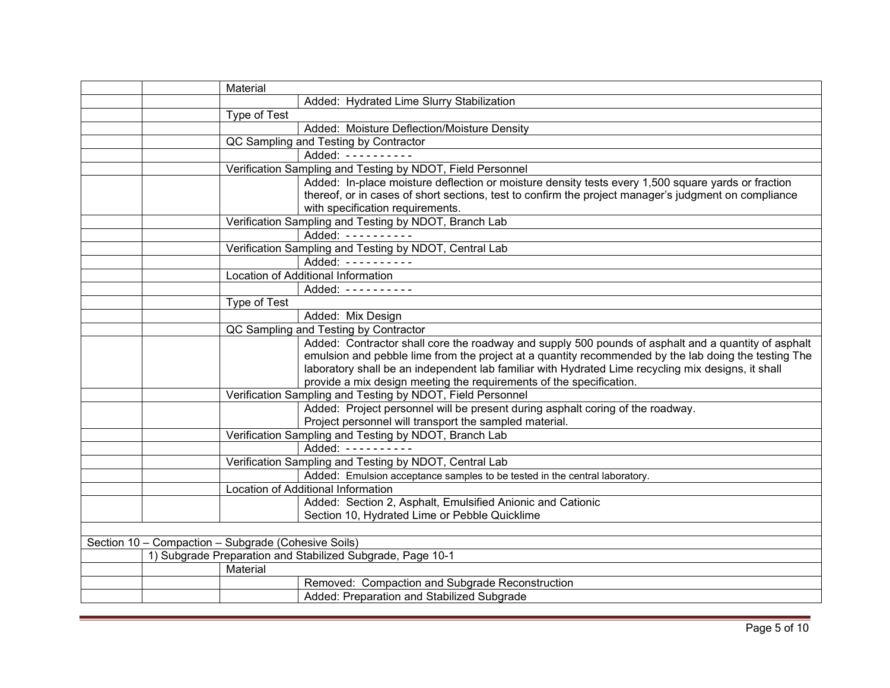|                                                     | Material     |                                                                                                      |
|-----------------------------------------------------|--------------|------------------------------------------------------------------------------------------------------|
|                                                     |              | Added: Hydrated Lime Slurry Stabilization                                                            |
|                                                     | Type of Test |                                                                                                      |
|                                                     |              | Added: Moisture Deflection/Moisture Density                                                          |
|                                                     |              | QC Sampling and Testing by Contractor                                                                |
|                                                     |              | Added: ----------                                                                                    |
|                                                     |              | Verification Sampling and Testing by NDOT, Field Personnel                                           |
|                                                     |              | Added: In-place moisture deflection or moisture density tests every 1,500 square yards or fraction   |
|                                                     |              | thereof, or in cases of short sections, test to confirm the project manager's judgment on compliance |
|                                                     |              | with specification requirements.                                                                     |
|                                                     |              | Verification Sampling and Testing by NDOT, Branch Lab                                                |
|                                                     |              | Added: ----------                                                                                    |
|                                                     |              | Verification Sampling and Testing by NDOT, Central Lab                                               |
|                                                     |              | Added: ----------                                                                                    |
|                                                     |              | Location of Additional Information                                                                   |
|                                                     |              | Added: ----------                                                                                    |
|                                                     | Type of Test |                                                                                                      |
|                                                     |              | Added: Mix Design                                                                                    |
|                                                     |              | QC Sampling and Testing by Contractor                                                                |
|                                                     |              | Added: Contractor shall core the roadway and supply 500 pounds of asphalt and a quantity of asphalt  |
|                                                     |              | emulsion and pebble lime from the project at a quantity recommended by the lab doing the testing The |
|                                                     |              | laboratory shall be an independent lab familiar with Hydrated Lime recycling mix designs, it shall   |
|                                                     |              | provide a mix design meeting the requirements of the specification.                                  |
|                                                     |              | Verification Sampling and Testing by NDOT, Field Personnel                                           |
|                                                     |              | Added: Project personnel will be present during asphalt coring of the roadway.                       |
|                                                     |              | Project personnel will transport the sampled material.                                               |
|                                                     |              | Verification Sampling and Testing by NDOT, Branch Lab                                                |
|                                                     |              | Added: ----------                                                                                    |
|                                                     |              | Verification Sampling and Testing by NDOT, Central Lab                                               |
|                                                     |              | Added: Emulsion acceptance samples to be tested in the central laboratory.                           |
|                                                     |              | Location of Additional Information                                                                   |
|                                                     |              | Added: Section 2, Asphalt, Emulsified Anionic and Cationic                                           |
|                                                     |              | Section 10, Hydrated Lime or Pebble Quicklime                                                        |
|                                                     |              |                                                                                                      |
| Section 10 - Compaction - Subgrade (Cohesive Soils) |              |                                                                                                      |
|                                                     |              | 1) Subgrade Preparation and Stabilized Subgrade, Page 10-1                                           |
|                                                     | Material     |                                                                                                      |
|                                                     |              | Removed: Compaction and Subgrade Reconstruction                                                      |
|                                                     |              | Added: Preparation and Stabilized Subgrade                                                           |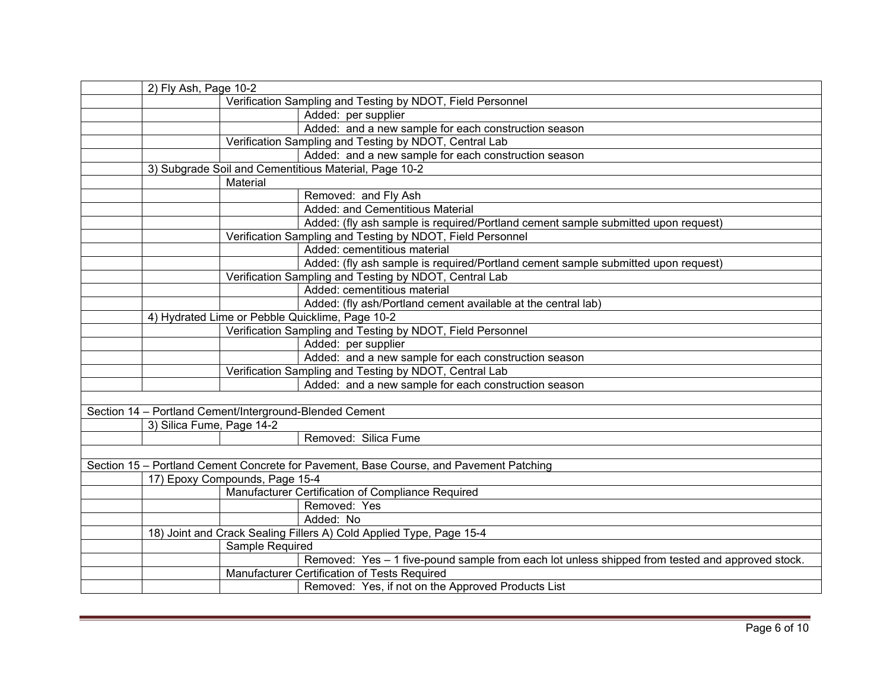| 2) Fly Ash, Page 10-2                                      |                                                                                                 |  |  |
|------------------------------------------------------------|-------------------------------------------------------------------------------------------------|--|--|
| Verification Sampling and Testing by NDOT, Field Personnel |                                                                                                 |  |  |
|                                                            | Added: per supplier                                                                             |  |  |
|                                                            | Added: and a new sample for each construction season                                            |  |  |
|                                                            | Verification Sampling and Testing by NDOT, Central Lab                                          |  |  |
|                                                            | Added: and a new sample for each construction season                                            |  |  |
|                                                            | 3) Subgrade Soil and Cementitious Material, Page 10-2                                           |  |  |
|                                                            | Material                                                                                        |  |  |
|                                                            | Removed: and Fly Ash                                                                            |  |  |
|                                                            | Added: and Cementitious Material                                                                |  |  |
|                                                            | Added: (fly ash sample is required/Portland cement sample submitted upon request)               |  |  |
|                                                            | Verification Sampling and Testing by NDOT, Field Personnel                                      |  |  |
|                                                            | Added: cementitious material                                                                    |  |  |
|                                                            | Added: (fly ash sample is required/Portland cement sample submitted upon request)               |  |  |
|                                                            | Verification Sampling and Testing by NDOT, Central Lab                                          |  |  |
|                                                            | Added: cementitious material                                                                    |  |  |
|                                                            | Added: (fly ash/Portland cement available at the central lab)                                   |  |  |
| 4) Hydrated Lime or Pebble Quicklime, Page 10-2            |                                                                                                 |  |  |
|                                                            | Verification Sampling and Testing by NDOT, Field Personnel                                      |  |  |
|                                                            | Added: per supplier                                                                             |  |  |
|                                                            | Added: and a new sample for each construction season                                            |  |  |
|                                                            | Verification Sampling and Testing by NDOT, Central Lab                                          |  |  |
|                                                            | Added: and a new sample for each construction season                                            |  |  |
|                                                            |                                                                                                 |  |  |
|                                                            | Section 14 - Portland Cement/Interground-Blended Cement                                         |  |  |
| 3) Silica Fume, Page 14-2                                  |                                                                                                 |  |  |
|                                                            | Removed: Silica Fume                                                                            |  |  |
|                                                            |                                                                                                 |  |  |
|                                                            | Section 15 - Portland Cement Concrete for Pavement, Base Course, and Pavement Patching          |  |  |
|                                                            | 17) Epoxy Compounds, Page 15-4                                                                  |  |  |
|                                                            | Manufacturer Certification of Compliance Required                                               |  |  |
|                                                            | Removed: Yes                                                                                    |  |  |
|                                                            | Added: No                                                                                       |  |  |
|                                                            | 18) Joint and Crack Sealing Fillers A) Cold Applied Type, Page 15-4                             |  |  |
|                                                            | Sample Required                                                                                 |  |  |
|                                                            | Removed: Yes - 1 five-pound sample from each lot unless shipped from tested and approved stock. |  |  |
|                                                            | Manufacturer Certification of Tests Required                                                    |  |  |
|                                                            | Removed: Yes, if not on the Approved Products List                                              |  |  |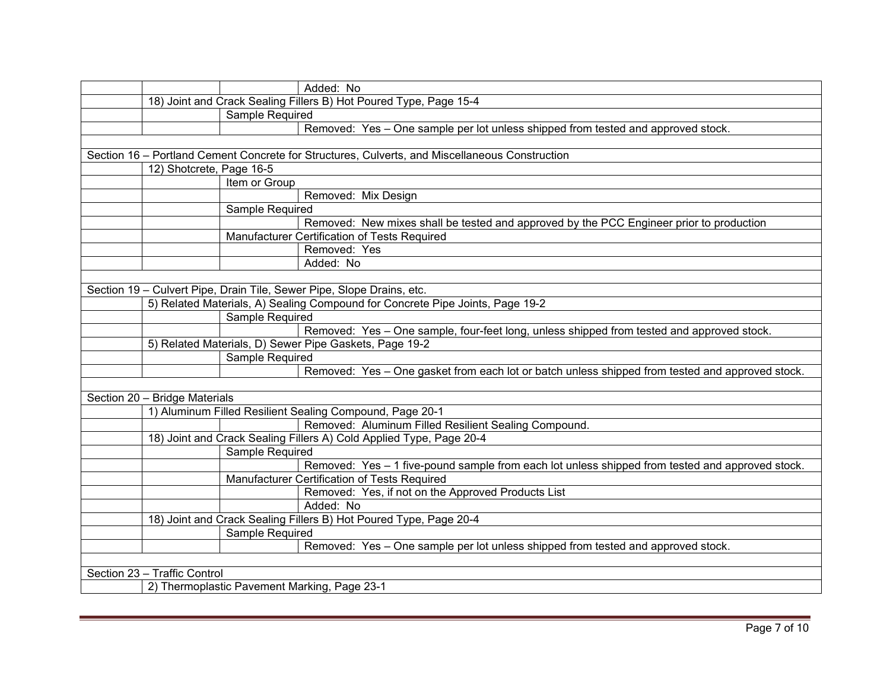|                                                                       | Added: No                                                                                       |  |  |
|-----------------------------------------------------------------------|-------------------------------------------------------------------------------------------------|--|--|
|                                                                       | 18) Joint and Crack Sealing Fillers B) Hot Poured Type, Page 15-4                               |  |  |
| Sample Required                                                       |                                                                                                 |  |  |
|                                                                       | Removed: Yes - One sample per lot unless shipped from tested and approved stock.                |  |  |
|                                                                       |                                                                                                 |  |  |
|                                                                       | Section 16 - Portland Cement Concrete for Structures, Culverts, and Miscellaneous Construction  |  |  |
| 12) Shotcrete, Page 16-5                                              |                                                                                                 |  |  |
| Item or Group                                                         |                                                                                                 |  |  |
|                                                                       | Removed: Mix Design                                                                             |  |  |
| Sample Required                                                       |                                                                                                 |  |  |
|                                                                       | Removed: New mixes shall be tested and approved by the PCC Engineer prior to production         |  |  |
|                                                                       | Manufacturer Certification of Tests Required                                                    |  |  |
|                                                                       | Removed: Yes                                                                                    |  |  |
|                                                                       | Added: No                                                                                       |  |  |
|                                                                       |                                                                                                 |  |  |
| Section 19 - Culvert Pipe, Drain Tile, Sewer Pipe, Slope Drains, etc. |                                                                                                 |  |  |
|                                                                       | 5) Related Materials, A) Sealing Compound for Concrete Pipe Joints, Page 19-2                   |  |  |
| Sample Required                                                       |                                                                                                 |  |  |
|                                                                       | Removed: Yes - One sample, four-feet long, unless shipped from tested and approved stock.       |  |  |
|                                                                       | 5) Related Materials, D) Sewer Pipe Gaskets, Page 19-2                                          |  |  |
| Sample Required                                                       |                                                                                                 |  |  |
|                                                                       | Removed: Yes - One gasket from each lot or batch unless shipped from tested and approved stock. |  |  |
|                                                                       |                                                                                                 |  |  |
| Section 20 - Bridge Materials                                         |                                                                                                 |  |  |
|                                                                       | 1) Aluminum Filled Resilient Sealing Compound, Page 20-1                                        |  |  |
|                                                                       | Removed: Aluminum Filled Resilient Sealing Compound.                                            |  |  |
|                                                                       | 18) Joint and Crack Sealing Fillers A) Cold Applied Type, Page 20-4                             |  |  |
| Sample Required                                                       |                                                                                                 |  |  |
|                                                                       | Removed: Yes - 1 five-pound sample from each lot unless shipped from tested and approved stock. |  |  |
|                                                                       | Manufacturer Certification of Tests Required                                                    |  |  |
|                                                                       | Removed: Yes, if not on the Approved Products List                                              |  |  |
|                                                                       | Added: No                                                                                       |  |  |
|                                                                       | 18) Joint and Crack Sealing Fillers B) Hot Poured Type, Page 20-4                               |  |  |
| Sample Required                                                       |                                                                                                 |  |  |
|                                                                       | Removed: Yes - One sample per lot unless shipped from tested and approved stock.                |  |  |
|                                                                       |                                                                                                 |  |  |
| Section 23 - Traffic Control                                          |                                                                                                 |  |  |
| 2) Thermoplastic Pavement Marking, Page 23-1                          |                                                                                                 |  |  |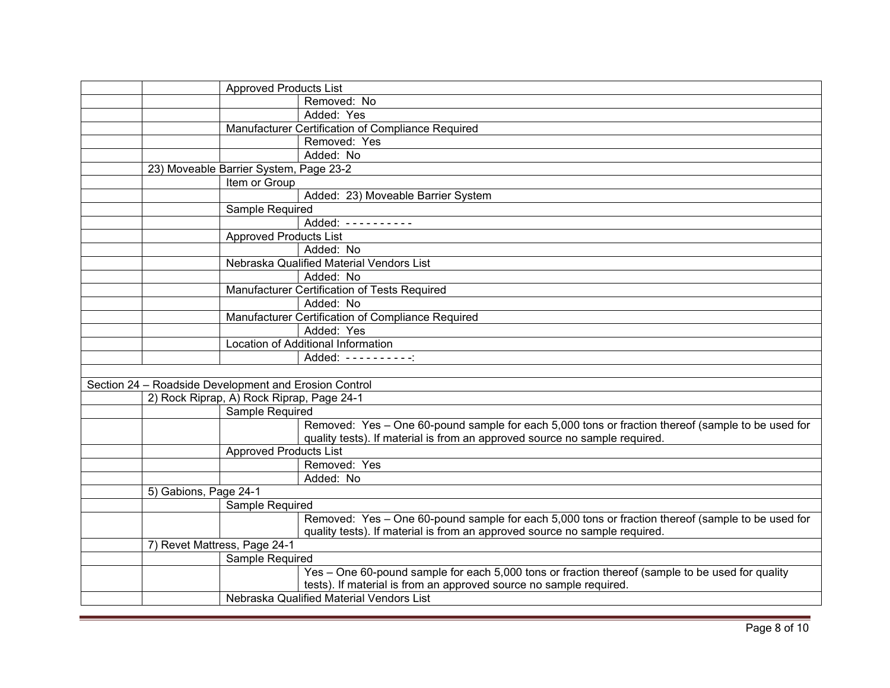|                              | <b>Approved Products List</b>                         |                                                                                                                                                                                 |
|------------------------------|-------------------------------------------------------|---------------------------------------------------------------------------------------------------------------------------------------------------------------------------------|
|                              |                                                       | Removed: No                                                                                                                                                                     |
|                              |                                                       | Added: Yes                                                                                                                                                                      |
|                              |                                                       | Manufacturer Certification of Compliance Required                                                                                                                               |
|                              |                                                       | Removed: Yes                                                                                                                                                                    |
|                              |                                                       | Added: No                                                                                                                                                                       |
|                              | 23) Moveable Barrier System, Page 23-2                |                                                                                                                                                                                 |
|                              | Item or Group                                         |                                                                                                                                                                                 |
|                              |                                                       | Added: 23) Moveable Barrier System                                                                                                                                              |
|                              | Sample Required                                       |                                                                                                                                                                                 |
|                              |                                                       | Added: ----------                                                                                                                                                               |
|                              | <b>Approved Products List</b>                         |                                                                                                                                                                                 |
|                              |                                                       | Added: No                                                                                                                                                                       |
|                              |                                                       | Nebraska Qualified Material Vendors List                                                                                                                                        |
|                              |                                                       | Added: No                                                                                                                                                                       |
|                              |                                                       | Manufacturer Certification of Tests Required                                                                                                                                    |
|                              |                                                       | Added: No                                                                                                                                                                       |
|                              |                                                       | Manufacturer Certification of Compliance Required                                                                                                                               |
|                              |                                                       | Added: Yes                                                                                                                                                                      |
|                              |                                                       | Location of Additional Information                                                                                                                                              |
|                              |                                                       | Added: ----------:                                                                                                                                                              |
|                              |                                                       |                                                                                                                                                                                 |
|                              | Section 24 - Roadside Development and Erosion Control |                                                                                                                                                                                 |
|                              | 2) Rock Riprap, A) Rock Riprap, Page 24-1             |                                                                                                                                                                                 |
|                              | <b>Sample Required</b>                                |                                                                                                                                                                                 |
|                              |                                                       | Removed: Yes - One 60-pound sample for each 5,000 tons or fraction thereof (sample to be used for<br>quality tests). If material is from an approved source no sample required. |
|                              | <b>Approved Products List</b>                         |                                                                                                                                                                                 |
|                              |                                                       | Removed: Yes                                                                                                                                                                    |
|                              |                                                       | Added: No                                                                                                                                                                       |
| 5) Gabions, Page 24-1        |                                                       |                                                                                                                                                                                 |
|                              | Sample Required                                       |                                                                                                                                                                                 |
|                              |                                                       | Removed: Yes - One 60-pound sample for each 5,000 tons or fraction thereof (sample to be used for                                                                               |
|                              |                                                       | quality tests). If material is from an approved source no sample required.                                                                                                      |
| 7) Revet Mattress, Page 24-1 |                                                       |                                                                                                                                                                                 |
|                              | Sample Required                                       |                                                                                                                                                                                 |
|                              |                                                       | Yes - One 60-pound sample for each 5,000 tons or fraction thereof (sample to be used for quality                                                                                |
|                              |                                                       | tests). If material is from an approved source no sample required.                                                                                                              |
|                              |                                                       | Nebraska Qualified Material Vendors List                                                                                                                                        |
|                              |                                                       |                                                                                                                                                                                 |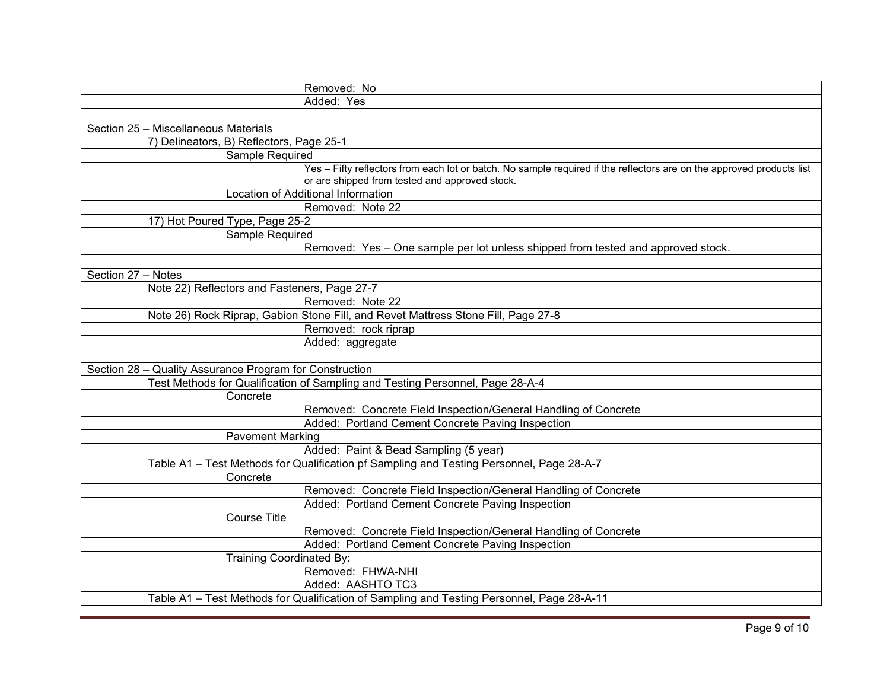|                                      |                                          |                                                         | Removed: No                                                                                                                                                             |  |
|--------------------------------------|------------------------------------------|---------------------------------------------------------|-------------------------------------------------------------------------------------------------------------------------------------------------------------------------|--|
|                                      |                                          |                                                         | Added: Yes                                                                                                                                                              |  |
|                                      |                                          |                                                         |                                                                                                                                                                         |  |
| Section 25 - Miscellaneous Materials |                                          |                                                         |                                                                                                                                                                         |  |
|                                      | 7) Delineators, B) Reflectors, Page 25-1 |                                                         |                                                                                                                                                                         |  |
|                                      |                                          | Sample Required                                         |                                                                                                                                                                         |  |
|                                      |                                          |                                                         | Yes - Fifty reflectors from each lot or batch. No sample required if the reflectors are on the approved products list<br>or are shipped from tested and approved stock. |  |
|                                      |                                          |                                                         | Location of Additional Information                                                                                                                                      |  |
|                                      |                                          |                                                         | Removed: Note 22                                                                                                                                                        |  |
|                                      |                                          | 17) Hot Poured Type, Page 25-2                          |                                                                                                                                                                         |  |
|                                      |                                          | Sample Required                                         |                                                                                                                                                                         |  |
|                                      |                                          |                                                         | Removed: Yes - One sample per lot unless shipped from tested and approved stock.                                                                                        |  |
|                                      |                                          |                                                         |                                                                                                                                                                         |  |
| Section 27 - Notes                   |                                          |                                                         |                                                                                                                                                                         |  |
|                                      |                                          |                                                         | Note 22) Reflectors and Fasteners, Page 27-7                                                                                                                            |  |
|                                      |                                          |                                                         | Removed: Note 22                                                                                                                                                        |  |
|                                      |                                          |                                                         | Note 26) Rock Riprap, Gabion Stone Fill, and Revet Mattress Stone Fill, Page 27-8                                                                                       |  |
|                                      |                                          |                                                         | Removed: rock riprap                                                                                                                                                    |  |
|                                      |                                          |                                                         | Added: aggregate                                                                                                                                                        |  |
|                                      |                                          |                                                         |                                                                                                                                                                         |  |
|                                      |                                          | Section 28 - Quality Assurance Program for Construction |                                                                                                                                                                         |  |
|                                      |                                          |                                                         | Test Methods for Qualification of Sampling and Testing Personnel, Page 28-A-4                                                                                           |  |
|                                      |                                          | Concrete                                                |                                                                                                                                                                         |  |
|                                      |                                          |                                                         | Removed: Concrete Field Inspection/General Handling of Concrete                                                                                                         |  |
|                                      |                                          |                                                         | Added: Portland Cement Concrete Paving Inspection                                                                                                                       |  |
|                                      |                                          | <b>Pavement Marking</b>                                 |                                                                                                                                                                         |  |
|                                      |                                          |                                                         | Added: Paint & Bead Sampling (5 year)                                                                                                                                   |  |
|                                      |                                          |                                                         | Table A1 - Test Methods for Qualification pf Sampling and Testing Personnel, Page 28-A-7                                                                                |  |
|                                      |                                          | Concrete                                                |                                                                                                                                                                         |  |
|                                      |                                          |                                                         | Removed: Concrete Field Inspection/General Handling of Concrete                                                                                                         |  |
|                                      |                                          |                                                         | Added: Portland Cement Concrete Paving Inspection                                                                                                                       |  |
|                                      |                                          | <b>Course Title</b>                                     |                                                                                                                                                                         |  |
|                                      |                                          |                                                         | Removed: Concrete Field Inspection/General Handling of Concrete                                                                                                         |  |
|                                      |                                          |                                                         | Added: Portland Cement Concrete Paving Inspection                                                                                                                       |  |
|                                      |                                          | Training Coordinated By:                                |                                                                                                                                                                         |  |
|                                      |                                          |                                                         | Removed: FHWA-NHI                                                                                                                                                       |  |
|                                      |                                          |                                                         | Added: AASHTO TC3                                                                                                                                                       |  |
|                                      |                                          |                                                         | Table A1 - Test Methods for Qualification of Sampling and Testing Personnel, Page 28-A-11                                                                               |  |